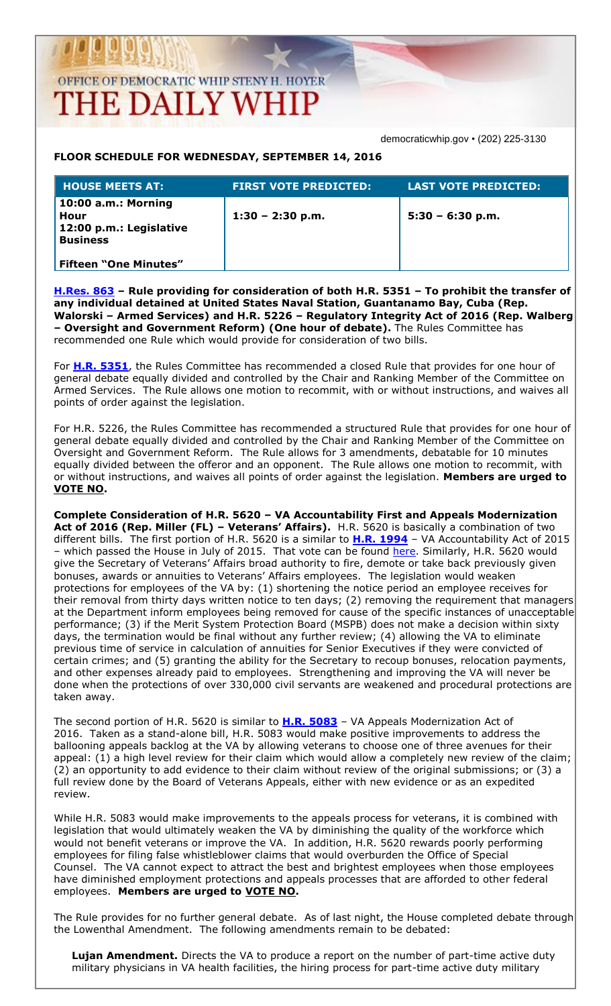### OFFICE OF DEMOCRATIC WHIP STENY H. HOYER **THE DAILY WHIP**

democraticwhip.gov • (202) 225-3130

#### **FLOOR SCHEDULE FOR WEDNESDAY, SEPTEMBER 14, 2016**

| <b>HOUSE MEETS AT:</b>                                                    | <b>FIRST VOTE PREDICTED:</b> | LAST VOTE PREDICTED: ' |
|---------------------------------------------------------------------------|------------------------------|------------------------|
| 10:00 a.m.: Morning<br>Hour<br>12:00 p.m.: Legislative<br><b>Business</b> | $1:30 - 2:30$ p.m.           | $5:30 - 6:30 p.m.$     |
| <b>Fifteen "One Minutes"</b>                                              |                              |                        |

**[H.Res. 863](http://thomas.loc.gov/cgi-bin/bdquery/z?d114:HRes863:/) – Rule providing for consideration of both H.R. 5351 – To prohibit the transfer of any individual detained at United States Naval Station, Guantanamo Bay, Cuba (Rep. Walorski – Armed Services) and H.R. 5226 – Regulatory Integrity Act of 2016 (Rep. Walberg – Oversight and Government Reform) (One hour of debate).** The Rules Committee has recommended one Rule which would provide for consideration of two bills.

For **[H.R. 5351](http://thomas.loc.gov/cgi-bin/bdquery/z?d114:HR5351:/)**, the Rules Committee has recommended a closed Rule that provides for one hour of general debate equally divided and controlled by the Chair and Ranking Member of the Committee on Armed Services. The Rule allows one motion to recommit, with or without instructions, and waives all points of order against the legislation.

For H.R. 5226, the Rules Committee has recommended a structured Rule that provides for one hour of general debate equally divided and controlled by the Chair and Ranking Member of the Committee on Oversight and Government Reform. The Rule allows for 3 amendments, debatable for 10 minutes equally divided between the offeror and an opponent. The Rule allows one motion to recommit, with or without instructions, and waives all points of order against the legislation. **Members are urged to VOTE NO.**

**Complete Consideration of H.R. 5620 – VA Accountability First and Appeals Modernization Act of 2016 (Rep. Miller (FL) – Veterans' Affairs).** H.R. 5620 is basically a combination of two different bills. The first portion of H.R. 5620 is a similar to **[H.R. 1994](http://thomas.loc.gov/cgi-bin/bdquery/z?d114:HR1994:/)** – VA Accountability Act of 2015 – which passed the House in July of 2015. That vote can be found [here.](http://clerk.house.gov/evs/2015/roll489.xml) Similarly, H.R. 5620 would give the Secretary of Veterans' Affairs broad authority to fire, demote or take back previously given bonuses, awards or annuities to Veterans' Affairs employees. The legislation would weaken protections for employees of the VA by: (1) shortening the notice period an employee receives for their removal from thirty days written notice to ten days; (2) removing the requirement that managers at the Department inform employees being removed for cause of the specific instances of unacceptable performance; (3) if the Merit System Protection Board (MSPB) does not make a decision within sixty days, the termination would be final without any further review; (4) allowing the VA to eliminate previous time of service in calculation of annuities for Senior Executives if they were convicted of certain crimes; and (5) granting the ability for the Secretary to recoup bonuses, relocation payments, and other expenses already paid to employees. Strengthening and improving the VA will never be done when the protections of over 330,000 civil servants are weakened and procedural protections are taken away.

The second portion of H.R. 5620 is similar to **[H.R. 5083](http://thomas.loc.gov/cgi-bin/bdquery/z?d114:HR5083:/)** – VA Appeals Modernization Act of 2016. Taken as a stand-alone bill, H.R. 5083 would make positive improvements to address the ballooning appeals backlog at the VA by allowing veterans to choose one of three avenues for their appeal: (1) a high level review for their claim which would allow a completely new review of the claim; (2) an opportunity to add evidence to their claim without review of the original submissions; or (3) a full review done by the Board of Veterans Appeals, either with new evidence or as an expedited review.

While H.R. 5083 would make improvements to the appeals process for veterans, it is combined with legislation that would ultimately weaken the VA by diminishing the quality of the workforce which would not benefit veterans or improve the VA. In addition, H.R. 5620 rewards poorly performing employees for filing false whistleblower claims that would overburden the Office of Special Counsel. The VA cannot expect to attract the best and brightest employees when those employees have diminished employment protections and appeals processes that are afforded to other federal employees. **Members are urged to VOTE NO.**

The Rule provides for no further general debate. As of last night, the House completed debate through the Lowenthal Amendment. The following amendments remain to be debated:

**Lujan Amendment.** Directs the VA to produce a report on the number of part-time active duty military physicians in VA health facilities, the hiring process for part-time active duty military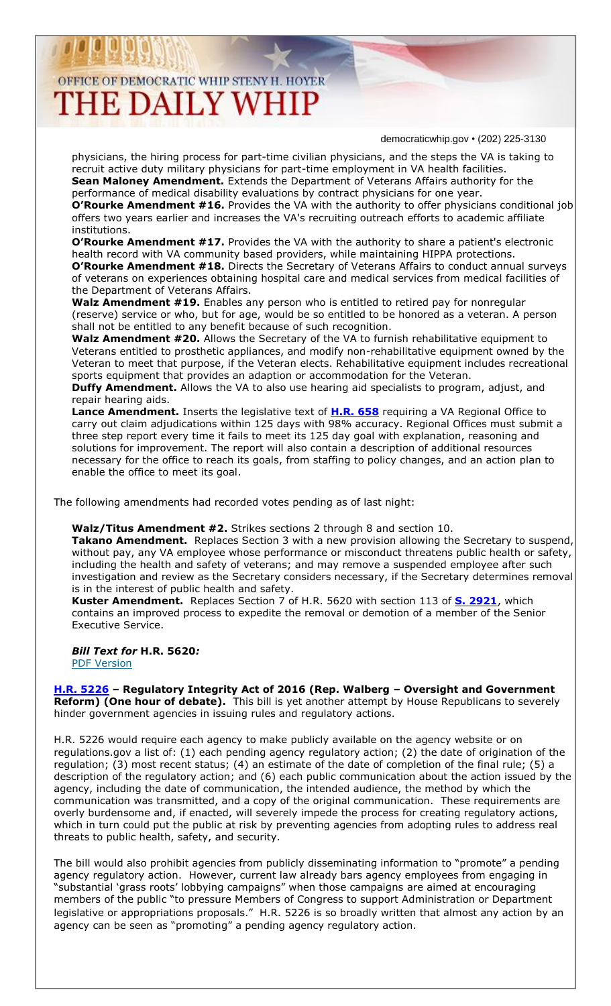## OFFICE OF DEMOCRATIC WHIP STENY H. HOYER

# **THE DAILY WHIP**

democraticwhip.gov • (202) 225-3130

physicians, the hiring process for part-time civilian physicians, and the steps the VA is taking to recruit active duty military physicians for part-time employment in VA health facilities. **Sean Maloney Amendment.** Extends the Department of Veterans Affairs authority for the performance of medical disability evaluations by contract physicians for one year.

**O'Rourke Amendment #16.** Provides the VA with the authority to offer physicians conditional job offers two years earlier and increases the VA's recruiting outreach efforts to academic affiliate institutions.

**O'Rourke Amendment #17.** Provides the VA with the authority to share a patient's electronic health record with VA community based providers, while maintaining HIPPA protections. **O'Rourke Amendment #18.** Directs the Secretary of Veterans Affairs to conduct annual surveys of veterans on experiences obtaining hospital care and medical services from medical facilities of the Department of Veterans Affairs.

**Walz Amendment #19.** Enables any person who is entitled to retired pay for nonregular (reserve) service or who, but for age, would be so entitled to be honored as a veteran. A person shall not be entitled to any benefit because of such recognition.

Walz Amendment #20. Allows the Secretary of the VA to furnish rehabilitative equipment to Veterans entitled to prosthetic appliances, and modify non-rehabilitative equipment owned by the Veteran to meet that purpose, if the Veteran elects. Rehabilitative equipment includes recreational sports equipment that provides an adaption or accommodation for the Veteran.

**Duffy Amendment.** Allows the VA to also use hearing aid specialists to program, adjust, and repair hearing aids.

**Lance Amendment.** Inserts the legislative text of **[H.R. 658](http://thomas.loc.gov/cgi-bin/bdquery/z?d114:HR658:/)** requiring a VA Regional Office to carry out claim adjudications within 125 days with 98% accuracy. Regional Offices must submit a three step report every time it fails to meet its 125 day goal with explanation, reasoning and solutions for improvement. The report will also contain a description of additional resources necessary for the office to reach its goals, from staffing to policy changes, and an action plan to enable the office to meet its goal.

The following amendments had recorded votes pending as of last night:

**Walz/Titus Amendment #2.** Strikes sections 2 through 8 and section 10.

**Takano Amendment.** Replaces Section 3 with a new provision allowing the Secretary to suspend, without pay, any VA employee whose performance or misconduct threatens public health or safety, including the health and safety of veterans; and may remove a suspended employee after such investigation and review as the Secretary considers necessary, if the Secretary determines removal is in the interest of public health and safety.

**Kuster Amendment.** Replaces Section 7 of H.R. 5620 with section 113 of **[S. 2921](http://thomas.loc.gov/cgi-bin/bdquery/z?d114:S2921:/)**, which contains an improved process to expedite the removal or demotion of a member of the Senior Executive Service.

*Bill Text for* **H.R. 5620***:*  [PDF Version](https://www.congress.gov/114/bills/hr5620/BILLS-114hr5620ih.pdf)

**[H.R. 5226](http://thomas.loc.gov/cgi-bin/bdquery/z?d114:HR5226:/) – Regulatory Integrity Act of 2016 (Rep. Walberg – Oversight and Government Reform) (One hour of debate).** This bill is yet another attempt by House Republicans to severely hinder government agencies in issuing rules and regulatory actions.

H.R. 5226 would require each agency to make publicly available on the agency website or on [regulations.gov](http://regulations.gov/) a list of: (1) each pending agency regulatory action; (2) the date of origination of the regulation; (3) most recent status; (4) an estimate of the date of completion of the final rule; (5) a description of the regulatory action; and (6) each public communication about the action issued by the agency, including the date of communication, the intended audience, the method by which the communication was transmitted, and a copy of the original communication. These requirements are overly burdensome and, if enacted, will severely impede the process for creating regulatory actions, which in turn could put the public at risk by preventing agencies from adopting rules to address real threats to public health, safety, and security.

The bill would also prohibit agencies from publicly disseminating information to "promote" a pending agency regulatory action. However, current law already bars agency employees from engaging in "substantial 'grass roots' lobbying campaigns" when those campaigns are aimed at encouraging members of the public "to pressure Members of Congress to support Administration or Department legislative or appropriations proposals." H.R. 5226 is so broadly written that almost any action by an agency can be seen as "promoting" a pending agency regulatory action.